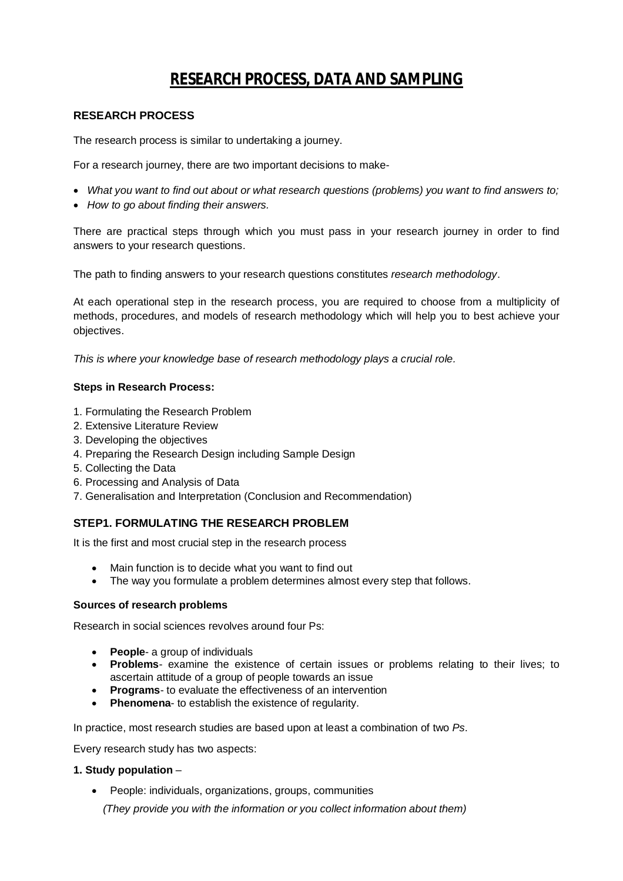# **RESEARCH PROCESS, DATA AND SAMPLING**

### **RESEARCH PROCESS**

The research process is similar to undertaking a journey.

For a research journey, there are two important decisions to make-

- *What you want to find out about or what research questions (problems) you want to find answers to;*
- *How to go about finding their answers.*

There are practical steps through which you must pass in your research journey in order to find answers to your research questions.

The path to finding answers to your research questions constitutes *research methodology*.

At each operational step in the research process, you are required to choose from a multiplicity of methods, procedures, and models of research methodology which will help you to best achieve your objectives.

*This is where your knowledge base of research methodology plays a crucial role.*

#### **Steps in Research Process:**

- 1. Formulating the Research Problem
- 2. Extensive Literature Review
- 3. Developing the objectives
- 4. Preparing the Research Design including Sample Design
- 5. Collecting the Data
- 6. Processing and Analysis of Data
- 7. Generalisation and Interpretation (Conclusion and Recommendation)

#### **STEP1. FORMULATING THE RESEARCH PROBLEM**

It is the first and most crucial step in the research process

- Main function is to decide what you want to find out
- The way you formulate a problem determines almost every step that follows.

#### **Sources of research problems**

Research in social sciences revolves around four Ps:

- **• People-** a group of individuals
- **Problems** examine the existence of certain issues or problems relating to their lives; to ascertain attitude of a group of people towards an issue
- **Programs** to evaluate the effectiveness of an intervention
- **Phenomena-** to establish the existence of regularity.

In practice, most research studies are based upon at least a combination of two *Ps*.

Every research study has two aspects:

#### **1. Study population** –

People: individuals, organizations, groups, communities

 *(They provide you with the information or you collect information about them)*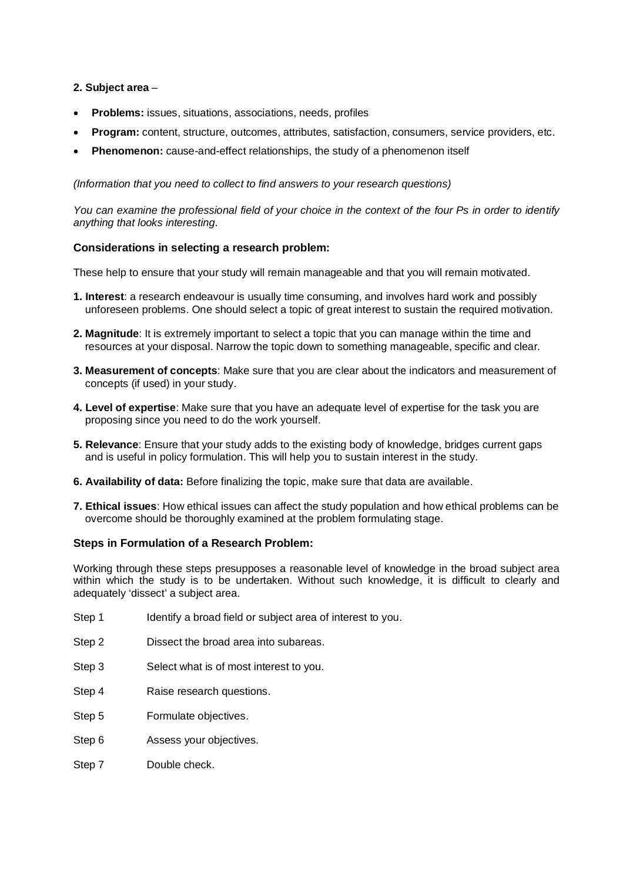#### **2. Subject area** –

- **Problems:** issues, situations, associations, needs, profiles
- **Program:** content, structure, outcomes, attributes, satisfaction, consumers, service providers, etc.
- **Phenomenon:** cause-and-effect relationships, the study of a phenomenon itself

*(Information that you need to collect to find answers to your research questions)*

*You can examine the professional field of your choice in the context of the four Ps in order to identify anything that looks interesting.*

#### **Considerations in selecting a research problem:**

These help to ensure that your study will remain manageable and that you will remain motivated.

- **1. Interest**: a research endeavour is usually time consuming, and involves hard work and possibly unforeseen problems. One should select a topic of great interest to sustain the required motivation.
- **2. Magnitude**: It is extremely important to select a topic that you can manage within the time and resources at your disposal. Narrow the topic down to something manageable, specific and clear.
- **3. Measurement of concepts**: Make sure that you are clear about the indicators and measurement of concepts (if used) in your study.
- **4. Level of expertise**: Make sure that you have an adequate level of expertise for the task you are proposing since you need to do the work yourself.
- **5. Relevance**: Ensure that your study adds to the existing body of knowledge, bridges current gaps and is useful in policy formulation. This will help you to sustain interest in the study.
- **6. Availability of data:** Before finalizing the topic, make sure that data are available.
- **7. Ethical issues**: How ethical issues can affect the study population and how ethical problems can be overcome should be thoroughly examined at the problem formulating stage.

#### **Steps in Formulation of a Research Problem:**

Working through these steps presupposes a reasonable level of knowledge in the broad subject area within which the study is to be undertaken. Without such knowledge, it is difficult to clearly and adequately 'dissect' a subject area.

- Step 1 Identify a broad field or subject area of interest to you.
- Step 2 Dissect the broad area into subareas.
- Step 3 Select what is of most interest to you.
- Step 4 Raise research questions.
- Step 5 Formulate objectives.
- Step 6 Assess your objectives.
- Step 7 Double check.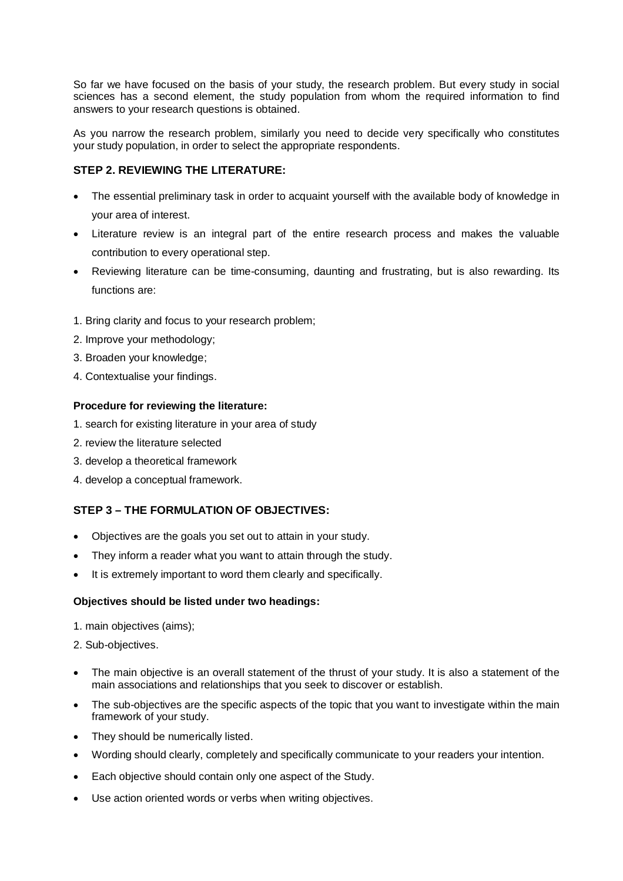So far we have focused on the basis of your study, the research problem. But every study in social sciences has a second element, the study population from whom the required information to find answers to your research questions is obtained.

As you narrow the research problem, similarly you need to decide very specifically who constitutes your study population, in order to select the appropriate respondents.

### **STEP 2. REVIEWING THE LITERATURE:**

- The essential preliminary task in order to acquaint yourself with the available body of knowledge in your area of interest.
- Literature review is an integral part of the entire research process and makes the valuable contribution to every operational step.
- Reviewing literature can be time-consuming, daunting and frustrating, but is also rewarding. Its functions are:
- 1. Bring clarity and focus to your research problem;
- 2. Improve your methodology;
- 3. Broaden your knowledge;
- 4. Contextualise your findings.

#### **Procedure for reviewing the literature:**

- 1. search for existing literature in your area of study
- 2. review the literature selected
- 3. develop a theoretical framework
- 4. develop a conceptual framework.

## **STEP 3 – THE FORMULATION OF OBJECTIVES:**

- Objectives are the goals you set out to attain in your study.
- They inform a reader what you want to attain through the study.
- It is extremely important to word them clearly and specifically.

## **Objectives should be listed under two headings:**

- 1. main objectives (aims);
- 2. Sub-objectives.
- The main objective is an overall statement of the thrust of your study. It is also a statement of the main associations and relationships that you seek to discover or establish.
- The sub-objectives are the specific aspects of the topic that you want to investigate within the main framework of your study.
- They should be numerically listed.
- Wording should clearly, completely and specifically communicate to your readers your intention.
- Each objective should contain only one aspect of the Study.
- Use action oriented words or verbs when writing objectives.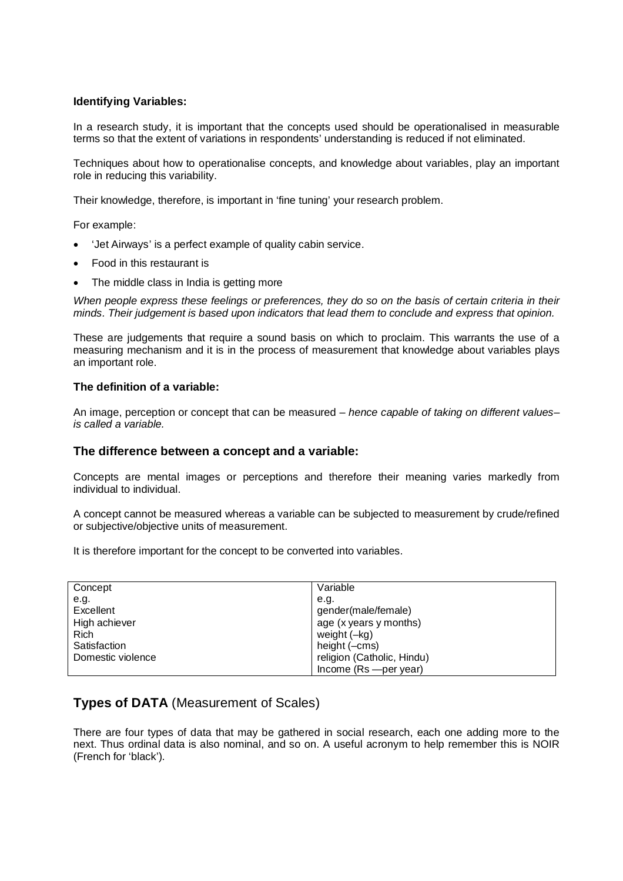#### **Identifying Variables:**

In a research study, it is important that the concepts used should be operationalised in measurable terms so that the extent of variations in respondents' understanding is reduced if not eliminated.

Techniques about how to operationalise concepts, and knowledge about variables, play an important role in reducing this variability.

Their knowledge, therefore, is important in 'fine tuning' your research problem.

For example:

- 'Jet Airways' is a perfect example of quality cabin service.
- Food in this restaurant is
- The middle class in India is getting more

*When people express these feelings or preferences, they do so on the basis of certain criteria in their minds. Their judgement is based upon indicators that lead them to conclude and express that opinion.*

These are judgements that require a sound basis on which to proclaim. This warrants the use of a measuring mechanism and it is in the process of measurement that knowledge about variables plays an important role.

#### **The definition of a variable:**

An image, perception or concept that can be measured – *hence capable of taking on different values– is called a variable.*

#### **The difference between a concept and a variable:**

Concepts are mental images or perceptions and therefore their meaning varies markedly from individual to individual.

A concept cannot be measured whereas a variable can be subjected to measurement by crude/refined or subjective/objective units of measurement.

It is therefore important for the concept to be converted into variables.

| Concept           | Variable                   |
|-------------------|----------------------------|
| e.g.              | e.a.                       |
| Excellent         | gender(male/female)        |
| High achiever     | age (x years y months)     |
| <b>Rich</b>       | weight (-kg)               |
| Satisfaction      | height (-cms)              |
| Domestic violence | religion (Catholic, Hindu) |
|                   | Income $(Rs$ --per year)   |

## **Types of DATA** (Measurement of Scales)

There are four types of data that may be gathered in social research, each one adding more to the next. Thus ordinal data is also nominal, and so on. A useful acronym to help remember this is NOIR (French for 'black').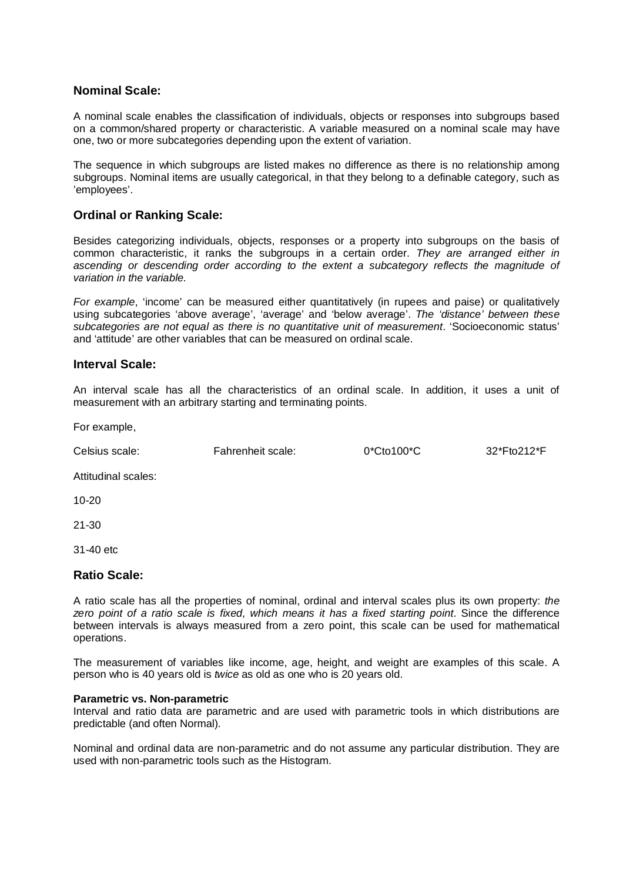## **Nominal Scale:**

A nominal scale enables the classification of individuals, objects or responses into subgroups based on a common/shared property or characteristic. A variable measured on a nominal scale may have one, two or more subcategories depending upon the extent of variation.

The sequence in which subgroups are listed makes no difference as there is no relationship among subgroups. Nominal items are usually categorical, in that they belong to a definable category, such as 'employees'.

### **Ordinal or Ranking Scale:**

Besides categorizing individuals, objects, responses or a property into subgroups on the basis of common characteristic, it ranks the subgroups in a certain order. *They are arranged either in ascending or descending order according to the extent a subcategory reflects the magnitude of variation in the variable.*

*For example*, 'income' can be measured either quantitatively (in rupees and paise) or qualitatively using subcategories 'above average', 'average' and 'below average'. *The 'distance' between these subcategories are not equal as there is no quantitative unit of measurement*. 'Socioeconomic status' and 'attitude' are other variables that can be measured on ordinal scale.

#### **Interval Scale:**

An interval scale has all the characteristics of an ordinal scale. In addition, it uses a unit of measurement with an arbitrary starting and terminating points.

For example,

Celsius scale: Fahrenheit scale: 0\*Cto100\*C 32\*Fto212\*F

Attitudinal scales:

10-20

21-30

31-40 etc

#### **Ratio Scale:**

A ratio scale has all the properties of nominal, ordinal and interval scales plus its own property: *the zero point of a ratio scale is fixed, which means it has a fixed starting point*. Since the difference between intervals is always measured from a zero point, this scale can be used for mathematical operations.

The measurement of variables like income, age, height, and weight are examples of this scale. A person who is 40 years old is *twice* as old as one who is 20 years old.

#### **Parametric vs. Non-parametric**

Interval and ratio data are parametric and are used with parametric tools in which distributions are predictable (and often Normal).

Nominal and ordinal data are non-parametric and do not assume any particular distribution. They are used with non-parametric tools such as the Histogram.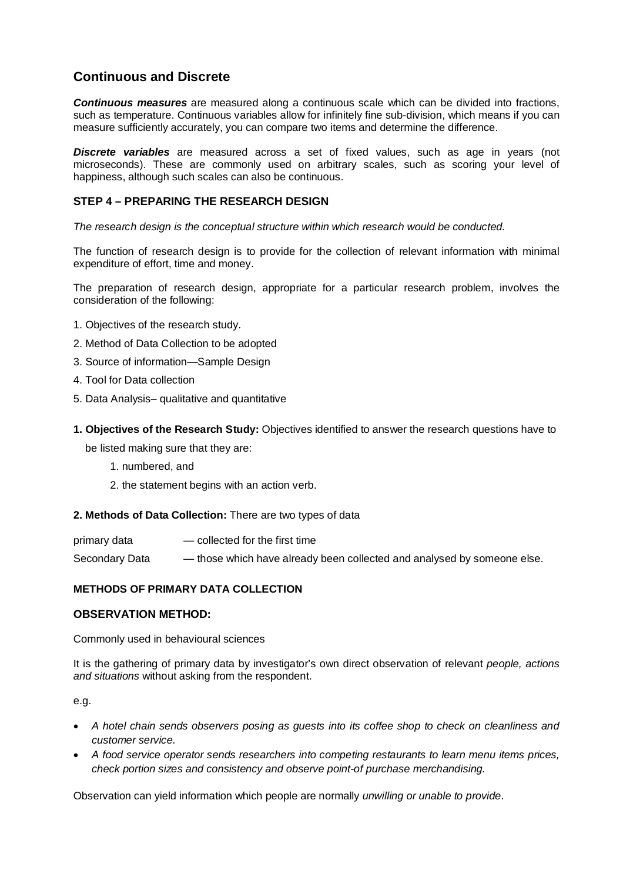## **Continuous and Discrete**

*Continuous measures* are measured along a continuous scale which can be divided into fractions, such as temperature. Continuous variables allow for infinitely fine sub-division, which means if you can measure sufficiently accurately, you can compare two items and determine the difference.

*Discrete variables* are measured across a set of fixed values, such as age in years (not microseconds). These are commonly used on arbitrary scales, such as scoring your level of happiness, although such scales can also be continuous.

## **STEP 4 – PREPARING THE RESEARCH DESIGN**

*The research design is the conceptual structure within which research would be conducted.*

The function of research design is to provide for the collection of relevant information with minimal expenditure of effort, time and money.

The preparation of research design, appropriate for a particular research problem, involves the consideration of the following:

- 1. Objectives of the research study.
- 2. Method of Data Collection to be adopted
- 3. Source of information—Sample Design
- 4. Tool for Data collection
- 5. Data Analysis– qualitative and quantitative
- **1. Objectives of the Research Study:** Objectives identified to answer the research questions have to

be listed making sure that they are:

- 1. numbered, and
- 2. the statement begins with an action verb.

#### **2. Methods of Data Collection:** There are two types of data

primary data — collected for the first time Secondary Data — those which have already been collected and analysed by someone else.

#### **METHODS OF PRIMARY DATA COLLECTION**

#### **OBSERVATION METHOD:**

Commonly used in behavioural sciences

It is the gathering of primary data by investigator's own direct observation of relevant *people, actions and situations* without asking from the respondent.

e.g.

- *A hotel chain sends observers posing as guests into its coffee shop to check on cleanliness and customer service.*
- *A food service operator sends researchers into competing restaurants to learn menu items prices, check portion sizes and consistency and observe point-of purchase merchandising.*

Observation can yield information which people are normally *unwilling or unable to provide*.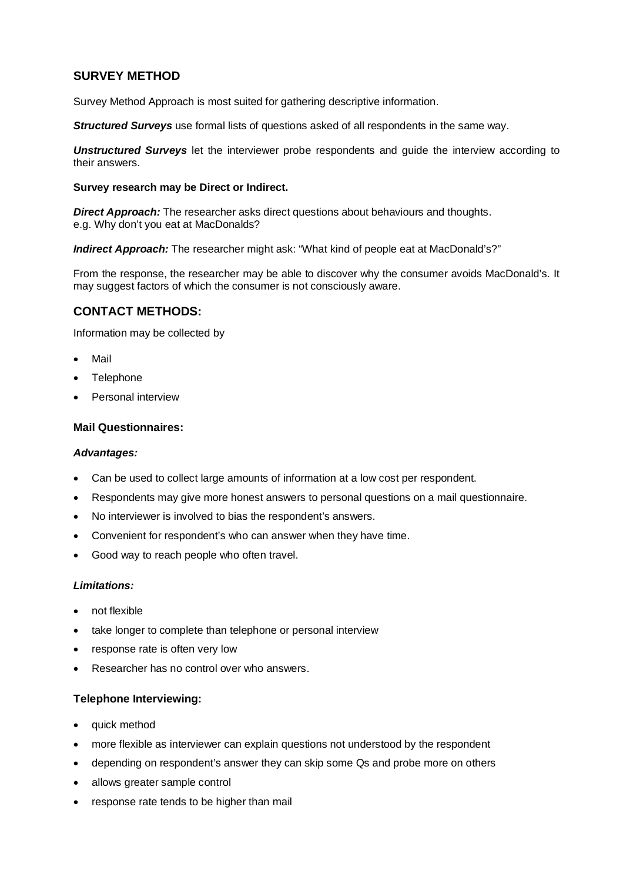## **SURVEY METHOD**

Survey Method Approach is most suited for gathering descriptive information.

*Structured Survevs* use formal lists of questions asked of all respondents in the same way.

*Unstructured Surveys* let the interviewer probe respondents and guide the interview according to their answers.

#### **Survey research may be Direct or Indirect.**

**Direct Approach:** The researcher asks direct questions about behaviours and thoughts. e.g. Why don't you eat at MacDonalds?

*Indirect Approach:* The researcher might ask: "What kind of people eat at MacDonald's?"

From the response, the researcher may be able to discover why the consumer avoids MacDonald's. It may suggest factors of which the consumer is not consciously aware.

## **CONTACT METHODS:**

Information may be collected by

- Mail
- **Telephone**
- Personal interview

#### **Mail Questionnaires:**

#### *Advantages:*

- Can be used to collect large amounts of information at a low cost per respondent.
- Respondents may give more honest answers to personal questions on a mail questionnaire.
- No interviewer is involved to bias the respondent's answers.
- Convenient for respondent's who can answer when they have time.
- Good way to reach people who often travel.

#### *Limitations:*

- not flexible
- take longer to complete than telephone or personal interview
- response rate is often very low
- Researcher has no control over who answers.

#### **Telephone Interviewing:**

- quick method
- more flexible as interviewer can explain questions not understood by the respondent
- depending on respondent's answer they can skip some Qs and probe more on others
- allows greater sample control
- response rate tends to be higher than mail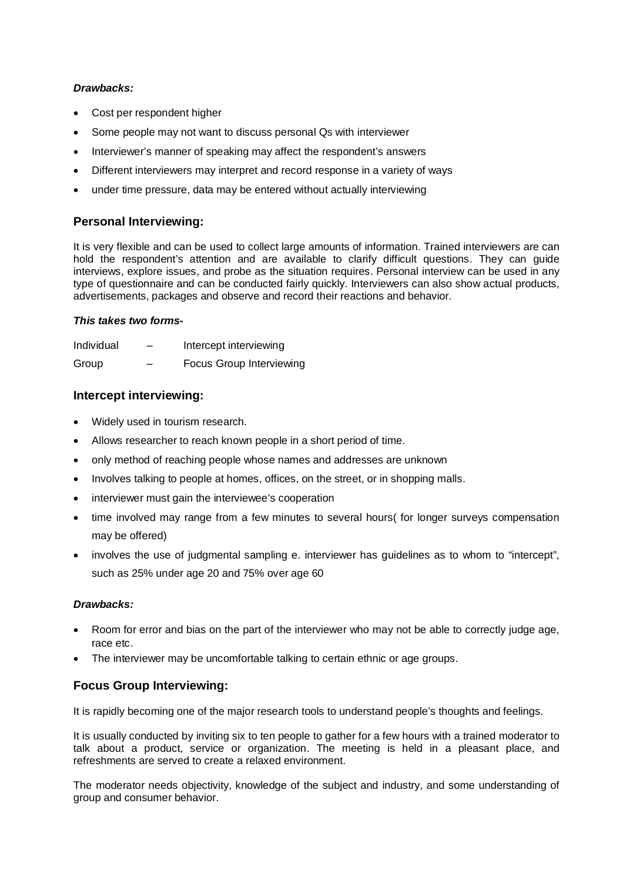#### *Drawbacks:*

- Cost per respondent higher
- Some people may not want to discuss personal Qs with interviewer
- Interviewer's manner of speaking may affect the respondent's answers
- Different interviewers may interpret and record response in a variety of ways
- under time pressure, data may be entered without actually interviewing

## **Personal Interviewing:**

It is very flexible and can be used to collect large amounts of information. Trained interviewers are can hold the respondent's attention and are available to clarify difficult questions. They can guide interviews, explore issues, and probe as the situation requires. Personal interview can be used in any type of questionnaire and can be conducted fairly quickly. Interviewers can also show actual products, advertisements, packages and observe and record their reactions and behavior.

### *This takes two forms-*

| Individual |   | Intercept interviewing   |
|------------|---|--------------------------|
| Group      | _ | Focus Group Interviewing |

## **Intercept interviewing:**

- Widely used in tourism research.
- Allows researcher to reach known people in a short period of time.
- only method of reaching people whose names and addresses are unknown
- Involves talking to people at homes, offices, on the street, or in shopping malls.
- interviewer must gain the interviewee's cooperation
- time involved may range from a few minutes to several hours( for longer surveys compensation may be offered)
- involves the use of judgmental sampling e. interviewer has guidelines as to whom to "intercept", such as 25% under age 20 and 75% over age 60

#### *Drawbacks:*

- Room for error and bias on the part of the interviewer who may not be able to correctly judge age, race etc.
- The interviewer may be uncomfortable talking to certain ethnic or age groups.

## **Focus Group Interviewing:**

It is rapidly becoming one of the major research tools to understand people's thoughts and feelings.

It is usually conducted by inviting six to ten people to gather for a few hours with a trained moderator to talk about a product, service or organization. The meeting is held in a pleasant place, and refreshments are served to create a relaxed environment.

The moderator needs objectivity, knowledge of the subject and industry, and some understanding of group and consumer behavior.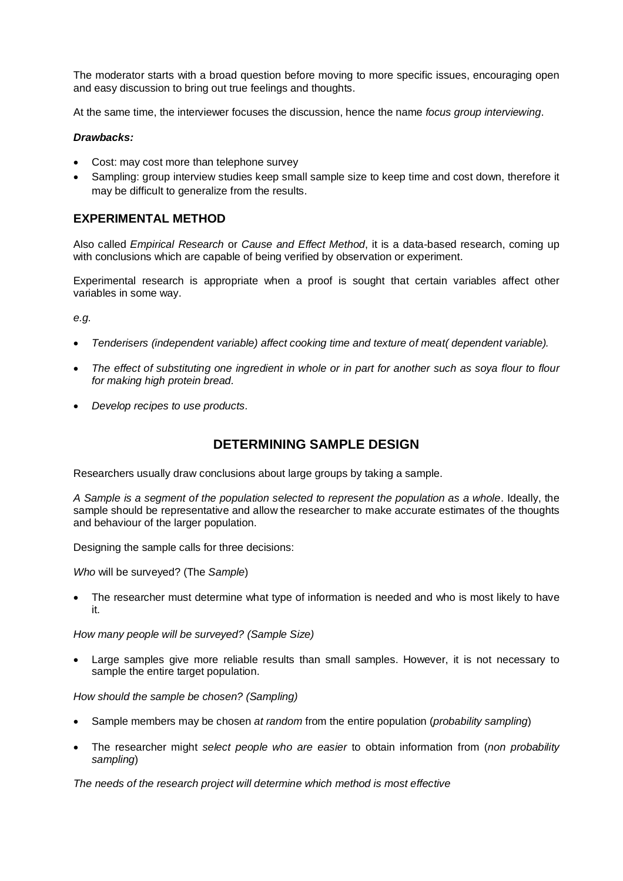The moderator starts with a broad question before moving to more specific issues, encouraging open and easy discussion to bring out true feelings and thoughts.

At the same time, the interviewer focuses the discussion, hence the name *focus group interviewing*.

#### *Drawbacks:*

- Cost: may cost more than telephone survey
- Sampling: group interview studies keep small sample size to keep time and cost down, therefore it may be difficult to generalize from the results.

## **EXPERIMENTAL METHOD**

Also called *Empirical Research* or *Cause and Effect Method*, it is a data-based research, coming up with conclusions which are capable of being verified by observation or experiment.

Experimental research is appropriate when a proof is sought that certain variables affect other variables in some way.

*e.g.*

- *Tenderisers (independent variable) affect cooking time and texture of meat( dependent variable).*
- *The effect of substituting one ingredient in whole or in part for another such as soya flour to flour for making high protein bread.*
- *Develop recipes to use products*.

## **DETERMINING SAMPLE DESIGN**

Researchers usually draw conclusions about large groups by taking a sample.

*A Sample is a segment of the population selected to represent the population as a whole*. Ideally, the sample should be representative and allow the researcher to make accurate estimates of the thoughts and behaviour of the larger population.

Designing the sample calls for three decisions:

*Who* will be surveyed? (The *Sample*)

 The researcher must determine what type of information is needed and who is most likely to have it.

*How many people will be surveyed? (Sample Size)*

Large samples give more reliable results than small samples. However, it is not necessary to sample the entire target population.

*How should the sample be chosen? (Sampling)*

- Sample members may be chosen *at random* from the entire population (*probability sampling*)
- The researcher might *select people who are easier* to obtain information from (*non probability sampling*)

*The needs of the research project will determine which method is most effective*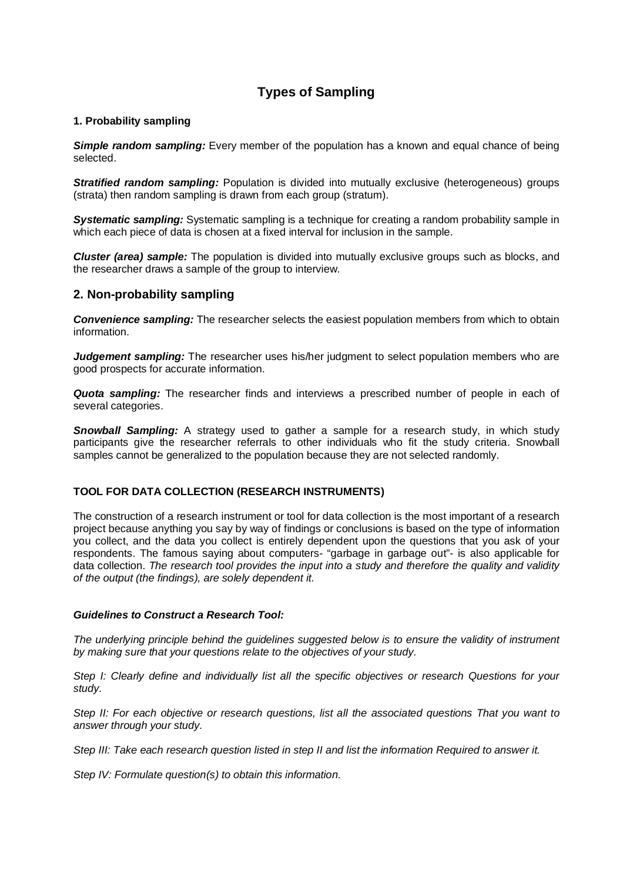## **Types of Sampling**

#### **1. Probability sampling**

**Simple random sampling:** Every member of the population has a known and equal chance of being selected.

**Stratified random sampling:** Population is divided into mutually exclusive (heterogeneous) groups (strata) then random sampling is drawn from each group (stratum).

*Systematic sampling:* Systematic sampling is a technique for creating a random probability sample in which each piece of data is chosen at a fixed interval for inclusion in the sample.

*Cluster (area) sample:* The population is divided into mutually exclusive groups such as blocks, and the researcher draws a sample of the group to interview.

### **2. Non-probability sampling**

**Convenience sampling:** The researcher selects the easiest population members from which to obtain information.

*Judgement sampling:* The researcher uses his/her judgment to select population members who are good prospects for accurate information.

*Quota sampling:* The researcher finds and interviews a prescribed number of people in each of several categories.

**Snowball Sampling:** A strategy used to gather a sample for a research study, in which study participants give the researcher referrals to other individuals who fit the study criteria. Snowball samples cannot be generalized to the population because they are not selected randomly.

#### **TOOL FOR DATA COLLECTION (RESEARCH INSTRUMENTS)**

The construction of a research instrument or tool for data collection is the most important of a research project because anything you say by way of findings or conclusions is based on the type of information you collect, and the data you collect is entirely dependent upon the questions that you ask of your respondents. The famous saying about computers- "garbage in garbage out"- is also applicable for data collection. *The research tool provides the input into a study and therefore the quality and validity of the output (the findings), are solely dependent it.*

#### *Guidelines to Construct a Research Tool:*

*The underlying principle behind the guidelines suggested below is to ensure the validity of instrument by making sure that your questions relate to the objectives of your study.*

*Step I: Clearly define and individually list all the specific objectives or research Questions for your study.*

*Step II: For each objective or research questions, list all the associated questions That you want to answer through your study.*

*Step III: Take each research question listed in step II and list the information Required to answer it.*

*Step IV: Formulate question(s) to obtain this information.*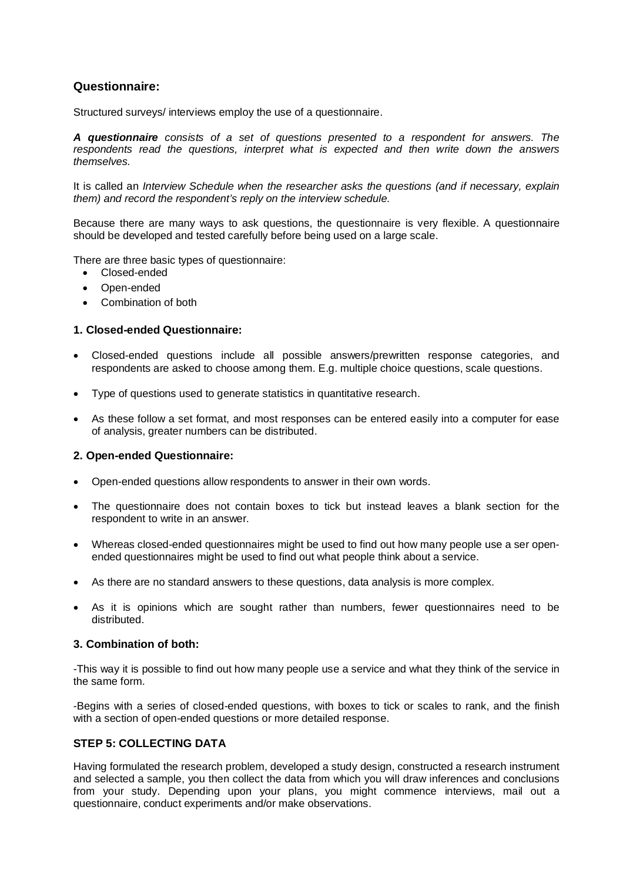## **Questionnaire:**

Structured surveys/ interviews employ the use of a questionnaire.

*A questionnaire consists of a set of questions presented to a respondent for answers. The respondents read the questions, interpret what is expected and then write down the answers themselves.*

It is called an *Interview Schedule when the researcher asks the questions (and if necessary, explain them) and record the respondent's reply on the interview schedule.*

Because there are many ways to ask questions, the questionnaire is very flexible. A questionnaire should be developed and tested carefully before being used on a large scale.

There are three basic types of questionnaire:

- Closed-ended
- Open-ended
- Combination of both

#### **1. Closed-ended Questionnaire:**

- Closed-ended questions include all possible answers/prewritten response categories, and respondents are asked to choose among them. E.g. multiple choice questions, scale questions.
- Type of questions used to generate statistics in quantitative research.
- As these follow a set format, and most responses can be entered easily into a computer for ease of analysis, greater numbers can be distributed.

#### **2. Open-ended Questionnaire:**

- Open-ended questions allow respondents to answer in their own words.
- The questionnaire does not contain boxes to tick but instead leaves a blank section for the respondent to write in an answer.
- Whereas closed-ended questionnaires might be used to find out how many people use a ser openended questionnaires might be used to find out what people think about a service.
- As there are no standard answers to these questions, data analysis is more complex.
- As it is opinions which are sought rather than numbers, fewer questionnaires need to be distributed.

#### **3. Combination of both:**

-This way it is possible to find out how many people use a service and what they think of the service in the same form.

-Begins with a series of closed-ended questions, with boxes to tick or scales to rank, and the finish with a section of open-ended questions or more detailed response.

#### **STEP 5: COLLECTING DATA**

Having formulated the research problem, developed a study design, constructed a research instrument and selected a sample, you then collect the data from which you will draw inferences and conclusions from your study. Depending upon your plans, you might commence interviews, mail out a questionnaire, conduct experiments and/or make observations.